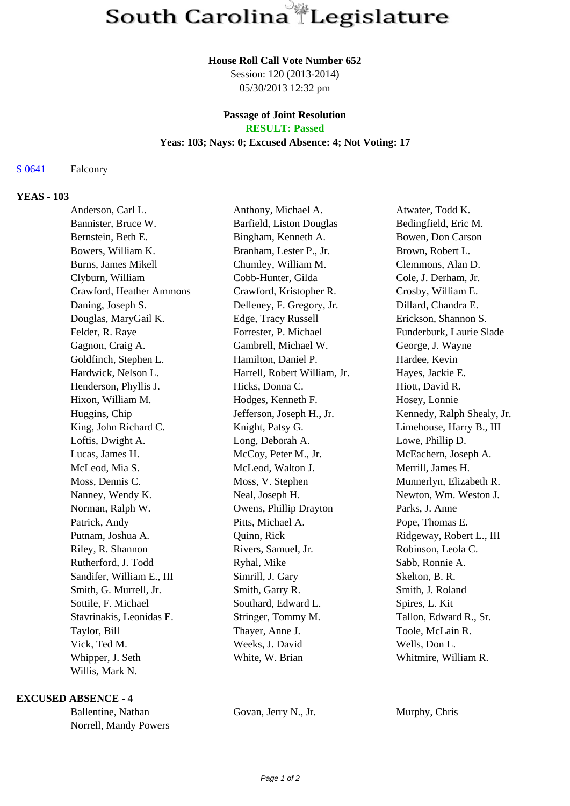#### **House Roll Call Vote Number 652**

Session: 120 (2013-2014) 05/30/2013 12:32 pm

# **Passage of Joint Resolution**

**RESULT: Passed**

## **Yeas: 103; Nays: 0; Excused Absence: 4; Not Voting: 17**

### S 0641 Falconry

### **YEAS - 103**

| Anderson, Carl L.         | Anthony, Michael A.          | Atwater, Todd K.           |
|---------------------------|------------------------------|----------------------------|
| Bannister, Bruce W.       | Barfield, Liston Douglas     | Bedingfield, Eric M.       |
| Bernstein, Beth E.        | Bingham, Kenneth A.          | Bowen, Don Carson          |
| Bowers, William K.        | Branham, Lester P., Jr.      | Brown, Robert L.           |
| Burns, James Mikell       | Chumley, William M.          | Clemmons, Alan D.          |
| Clyburn, William          | Cobb-Hunter, Gilda           | Cole, J. Derham, Jr.       |
| Crawford, Heather Ammons  | Crawford, Kristopher R.      | Crosby, William E.         |
| Daning, Joseph S.         | Delleney, F. Gregory, Jr.    | Dillard, Chandra E.        |
| Douglas, MaryGail K.      | Edge, Tracy Russell          | Erickson, Shannon S.       |
| Felder, R. Raye           | Forrester, P. Michael        | Funderburk, Laurie Slade   |
| Gagnon, Craig A.          | Gambrell, Michael W.         | George, J. Wayne           |
| Goldfinch, Stephen L.     | Hamilton, Daniel P.          | Hardee, Kevin              |
| Hardwick, Nelson L.       | Harrell, Robert William, Jr. | Hayes, Jackie E.           |
| Henderson, Phyllis J.     | Hicks, Donna C.              | Hiott, David R.            |
| Hixon, William M.         | Hodges, Kenneth F.           | Hosey, Lonnie              |
| Huggins, Chip             | Jefferson, Joseph H., Jr.    | Kennedy, Ralph Shealy, Jr. |
| King, John Richard C.     | Knight, Patsy G.             | Limehouse, Harry B., III   |
| Loftis, Dwight A.         | Long, Deborah A.             | Lowe, Phillip D.           |
| Lucas, James H.           | McCoy, Peter M., Jr.         | McEachern, Joseph A.       |
| McLeod, Mia S.            | McLeod, Walton J.            | Merrill, James H.          |
| Moss, Dennis C.           | Moss, V. Stephen             | Munnerlyn, Elizabeth R.    |
| Nanney, Wendy K.          | Neal, Joseph H.              | Newton, Wm. Weston J.      |
| Norman, Ralph W.          | Owens, Phillip Drayton       | Parks, J. Anne             |
| Patrick, Andy             | Pitts, Michael A.            | Pope, Thomas E.            |
| Putnam, Joshua A.         | Quinn, Rick                  | Ridgeway, Robert L., III   |
| Riley, R. Shannon         | Rivers, Samuel, Jr.          | Robinson, Leola C.         |
| Rutherford, J. Todd       | Ryhal, Mike                  | Sabb, Ronnie A.            |
| Sandifer, William E., III | Simrill, J. Gary             | Skelton, B. R.             |
| Smith, G. Murrell, Jr.    | Smith, Garry R.              | Smith, J. Roland           |
| Sottile, F. Michael       | Southard, Edward L.          | Spires, L. Kit             |
| Stavrinakis, Leonidas E.  | Stringer, Tommy M.           | Tallon, Edward R., Sr.     |
| Taylor, Bill              | Thayer, Anne J.              | Toole, McLain R.           |
| Vick, Ted M.              | Weeks, J. David              | Wells, Don L.              |
| Whipper, J. Seth          | White, W. Brian              | Whitmire, William R.       |
| Willis, Mark N.           |                              |                            |

#### **EXCUSED ABSENCE - 4**

Ballentine, Nathan Govan, Jerry N., Jr. Murphy, Chris Norrell, Mandy Powers